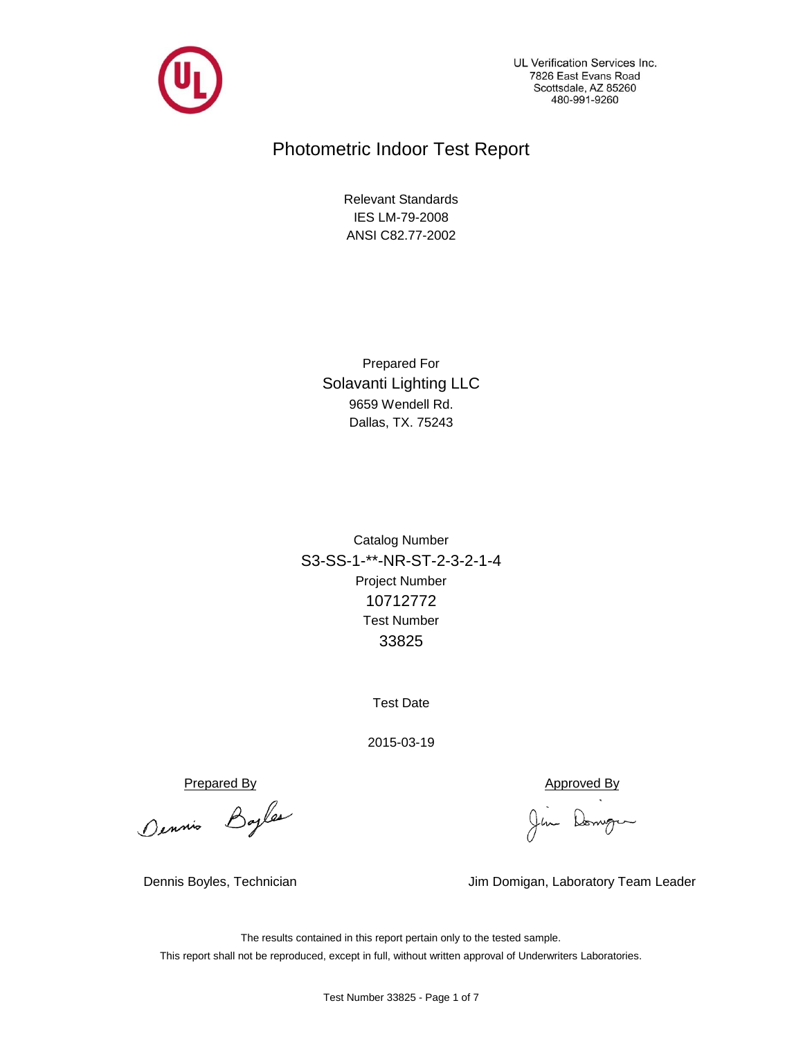

UL Verification Services Inc. 7826 East Evans Road Scottsdale, AZ 85260 480-991-9260

# Photometric Indoor Test Report

ANSI C82.77-2002 IES LM-79-2008 Relevant Standards

Dallas, TX. 75243 9659 Wendell Rd. Solavanti Lighting LLC Prepared For

Project Number 10712772 S3-SS-1-\*\*-NR-ST-2-3-2-1-4 33825 Test Number Catalog Number

Test Date

2015-03-19

Prepared By<br>Dennis Bayles (Jim Domingum

Dennis Boyles, Technician Jim Domigan, Laboratory Team Leader

The results contained in this report pertain only to the tested sample. This report shall not be reproduced, except in full, without written approval of Underwriters Laboratories.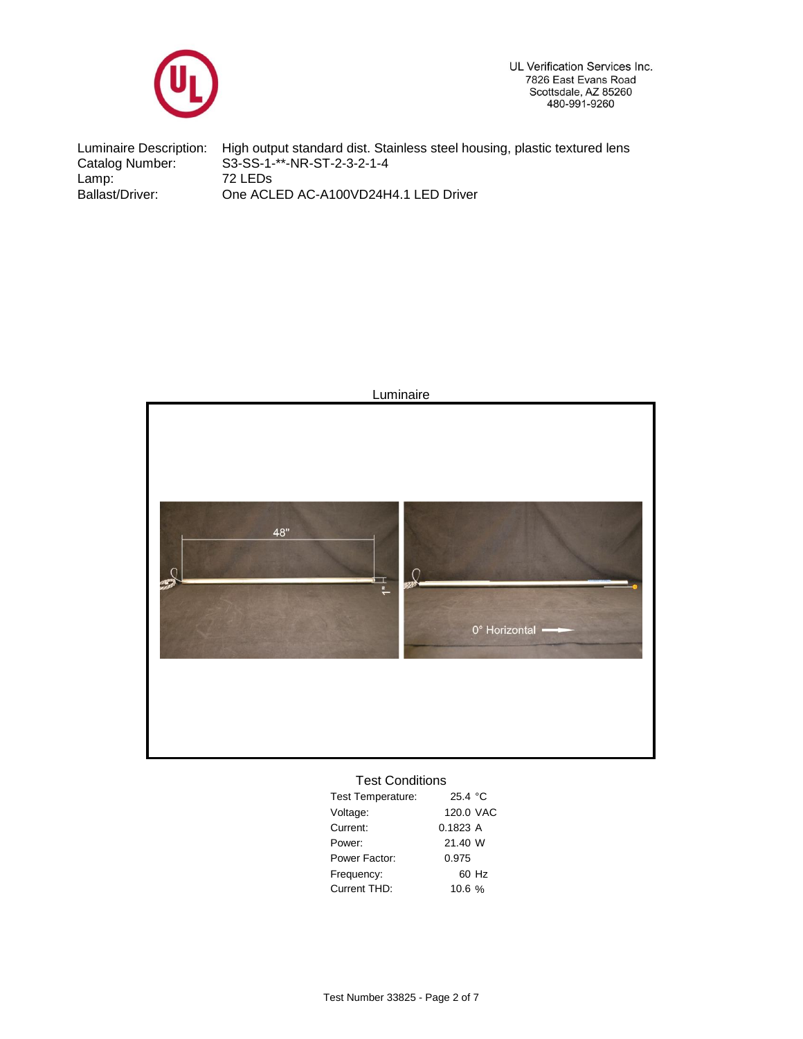

UL Verification Services Inc. 7826 East Evans Road Scottsdale, AZ 85260<br>480-991-9260

Ballast/Driver: 72 LEDs Luminaire Description: Catalog Number: High output standard dist. Stainless steel housing, plastic textured lens S3-SS-1-\*\*-NR-ST-2-3-2-1-4 Lamp: One ACLED AC-A100VD24H4.1 LED Driver



## Test Conditions

| <b>Test Temperature:</b> | 25.4 °C   |       |
|--------------------------|-----------|-------|
| Voltage:                 | 120.0 VAC |       |
| Current:                 | 0.1823A   |       |
| Power:                   | 21.40 W   |       |
| Power Factor:            | 0.975     |       |
| Frequency:               |           | 60 Hz |
| Current THD:             | 10.6%     |       |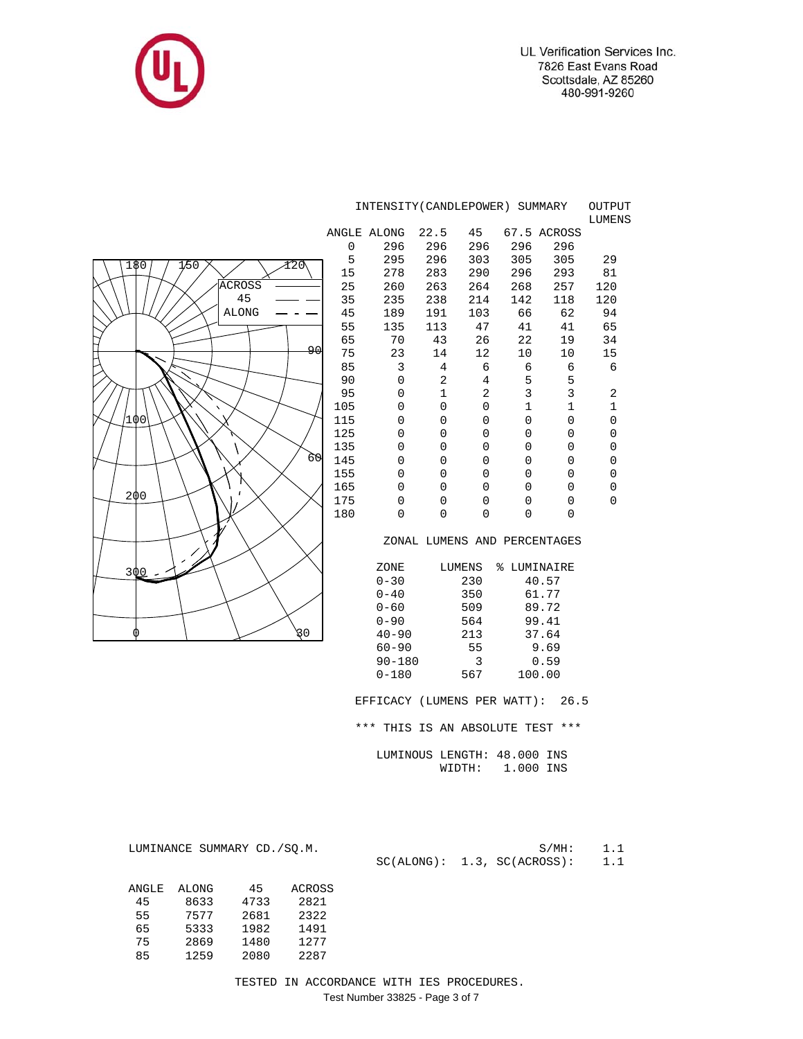UL Verification Services Inc. 7826 East Evans Road Scottsdale, AZ 85260<br>480-991-9260



|                             |                              | INTENSITY (CANDLEPOWER) SUMMARY  |                             |                  |              |                  | OUTPUT<br>LUMENS |  |  |  |  |  |  |
|-----------------------------|------------------------------|----------------------------------|-----------------------------|------------------|--------------|------------------|------------------|--|--|--|--|--|--|
|                             |                              | ANGLE ALONG                      | 22.5                        | 45               |              | 67.5 ACROSS      |                  |  |  |  |  |  |  |
|                             | 0                            | 296                              | 296                         | 296              | 296          | 296              |                  |  |  |  |  |  |  |
|                             | 5                            | 295                              | 296                         | 303              | 305          | 305              | 29               |  |  |  |  |  |  |
| 180<br>1/50<br>120          | 15                           | 278                              | 283                         | 290              | 296          | 293              | 81               |  |  |  |  |  |  |
| <b>ACROSS</b>               | 25                           | 260                              | 263                         | 264              | 268          | 257              | 120              |  |  |  |  |  |  |
| 45                          | 35                           | 235                              | 238                         | 214              | 142          | 118              | 120              |  |  |  |  |  |  |
| <b>ALONG</b>                | 45                           | 189                              | 191                         | 103              | 66           | 62               | 94               |  |  |  |  |  |  |
|                             | 55                           | 135                              | 113                         | 47               | 41           | 41               | 65               |  |  |  |  |  |  |
|                             | 65                           | 70                               | 43                          | 26               | 22           | 19               | 34               |  |  |  |  |  |  |
| لهو                         | 75                           | 23                               | 14                          | 12               | 10           | 10               | 15               |  |  |  |  |  |  |
|                             | 85                           | 3                                | 4                           | 6                | 6            | 6                | 6                |  |  |  |  |  |  |
|                             | 90                           | 0                                | 2                           | $\overline{4}$   | 5            | 5                |                  |  |  |  |  |  |  |
|                             | 95                           | 0                                | $\mathbf 1$                 | 2                | 3            | $\mathbf{3}$     | $\sqrt{2}$       |  |  |  |  |  |  |
|                             | 105                          | 0                                | 0                           | 0                | $\mathbf{1}$ | $\mathbf 1$      | $\mathbf 1$      |  |  |  |  |  |  |
| 100                         | 115                          | 0                                | 0                           | 0                | 0            | $\overline{0}$   | $\overline{0}$   |  |  |  |  |  |  |
|                             | 125                          | 0                                | 0<br>0                      | 0                | 0            | 0<br>$\mathbf 0$ | 0<br>$\mathbf 0$ |  |  |  |  |  |  |
| 60                          | 135<br>145                   | 0<br>0                           | 0                           | 0<br>$\mathsf 0$ | 0<br>0       | 0                | $\mathsf 0$      |  |  |  |  |  |  |
|                             | 155                          | 0                                | $\mathbf 0$                 | 0                | 0            | $\mathbf 0$      | $\mathbf 0$      |  |  |  |  |  |  |
|                             | 165                          | 0                                | $\mathbf 0$                 | $\mathbf 0$      | 0            | $\mathbf 0$      | 0                |  |  |  |  |  |  |
| 200                         | 175                          | 0                                | 0                           | 0                | 0            | 0                | $\overline{0}$   |  |  |  |  |  |  |
|                             | 180                          | 0                                | 0                           | 0                | 0            | $\Omega$         |                  |  |  |  |  |  |  |
|                             |                              |                                  |                             |                  |              |                  |                  |  |  |  |  |  |  |
|                             | ZONAL LUMENS AND PERCENTAGES |                                  |                             |                  |              |                  |                  |  |  |  |  |  |  |
|                             |                              |                                  |                             |                  |              |                  |                  |  |  |  |  |  |  |
| 300                         |                              | ZONE                             |                             | LUMENS           | % LUMINAIRE  |                  |                  |  |  |  |  |  |  |
|                             |                              | $0 - 30$                         |                             | 230              |              | 40.57            |                  |  |  |  |  |  |  |
|                             |                              | $0 - 40$                         |                             | 350              |              | 61.77            |                  |  |  |  |  |  |  |
|                             |                              | $0 - 60$                         |                             | 509              |              | 89.72            |                  |  |  |  |  |  |  |
|                             |                              | $0 - 90$                         |                             | 564              |              | 99.41            |                  |  |  |  |  |  |  |
| 30<br>0                     |                              | $40 - 90$                        |                             | 213              |              | 37.64            |                  |  |  |  |  |  |  |
|                             |                              | $60 - 90$                        |                             | 55               |              | 9.69             |                  |  |  |  |  |  |  |
|                             |                              | $90 - 180$                       |                             | 3                |              | 0.59             |                  |  |  |  |  |  |  |
|                             |                              | $0 - 180$                        |                             | 567              |              | 100.00           |                  |  |  |  |  |  |  |
|                             |                              | EFFICACY (LUMENS PER WATT): 26.5 |                             |                  |              |                  |                  |  |  |  |  |  |  |
|                             |                              | *** THIS IS AN ABSOLUTE TEST *** |                             |                  |              |                  |                  |  |  |  |  |  |  |
|                             |                              |                                  | LUMINOUS LENGTH: 48.000 INS |                  |              |                  |                  |  |  |  |  |  |  |
|                             |                              |                                  |                             | WIDTH:           | 1.000 INS    |                  |                  |  |  |  |  |  |  |
|                             |                              |                                  |                             |                  |              |                  |                  |  |  |  |  |  |  |
|                             |                              |                                  |                             |                  |              |                  |                  |  |  |  |  |  |  |
|                             |                              |                                  |                             |                  |              |                  |                  |  |  |  |  |  |  |
| LUMINANCE SUMMARY CD./SO.M. |                              |                                  |                             |                  |              | $S/MH$ :         | 1.1              |  |  |  |  |  |  |
|                             |                              |                                  | SC(ALONG): 1.3, SC(ACROSS): |                  |              |                  | 1.1              |  |  |  |  |  |  |

| ANGLE | ALONG | 45   | <b>ACROSS</b> |
|-------|-------|------|---------------|
| 45    | 8633  | 4733 | 2821          |
| 55    | 7577  | 2681 | 2322          |
| 65    | 5333  | 1982 | 1491          |
| 75    | 2869  | 1480 | 1277          |
| 85    | 1259  | 2080 | 2287          |

## TESTED IN ACCORDANCE WITH IES PROCEDURES. Test Number 33825 - Page 3 of 7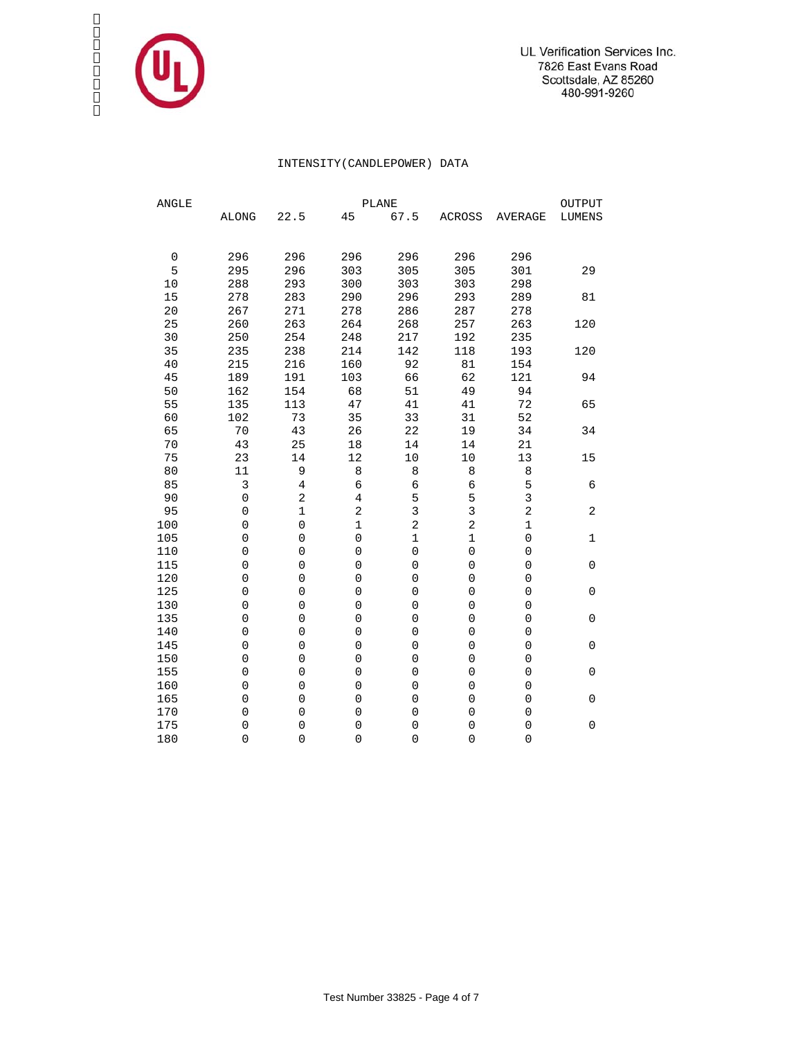

### INTENSITY(CANDLEPOWER) DATA

| ${\tt ANGLE}$ | <b>PLANE</b>        |                     |                     |                     |                     |                         |                |  |  |  |  |  |  |
|---------------|---------------------|---------------------|---------------------|---------------------|---------------------|-------------------------|----------------|--|--|--|--|--|--|
|               | <b>ALONG</b>        | 22.5                | 45                  | 67.5                | ACROSS              | <b>AVERAGE</b>          | <b>LUMENS</b>  |  |  |  |  |  |  |
|               |                     |                     |                     |                     |                     |                         |                |  |  |  |  |  |  |
| $\mathbf 0$   | 296                 | 296                 | 296                 | 296                 | 296                 | 296                     |                |  |  |  |  |  |  |
| 5             | 295                 | 296                 | 303                 | 305                 | 305                 | 301                     | 29             |  |  |  |  |  |  |
| 10            | 288                 | 293                 | 300                 | 303                 | 303                 | 298                     |                |  |  |  |  |  |  |
| 15            | 278                 | 283                 | 290                 | 296                 | 293                 | 289                     | 81             |  |  |  |  |  |  |
| $20$          | 267                 | 271                 | 278                 | 286                 | 287                 | 278                     |                |  |  |  |  |  |  |
| 25            | 260                 | 263                 | 264                 | 268                 | 257                 | 263                     | 120            |  |  |  |  |  |  |
| 30            | 250                 | 254                 | 248                 | 217                 | 192                 | 235                     |                |  |  |  |  |  |  |
| 35            | 235                 | 238                 | 214                 | 142                 | 118                 | 193                     | 120            |  |  |  |  |  |  |
| 40            | 215                 | 216                 | 160                 | 92                  | 81                  | 154                     |                |  |  |  |  |  |  |
| 45            | 189                 | 191                 | 103                 | 66                  | 62                  | 121                     | 94             |  |  |  |  |  |  |
| 50            | 162                 | 154                 | 68                  | 51                  | 49                  | 94                      |                |  |  |  |  |  |  |
| 55            | 135                 | 113                 | 47                  | 41                  | 41                  | 72                      | 65             |  |  |  |  |  |  |
| 60            | 102                 | 73                  | 35                  | 33                  | 31                  | 52                      |                |  |  |  |  |  |  |
| 65            | 70                  | 43                  | 26                  | 22                  | 19                  | 34                      | 34             |  |  |  |  |  |  |
| $70$          | 43                  | 25                  | 18                  | 14                  | 14                  | 21                      |                |  |  |  |  |  |  |
| 75            | 23                  | 14                  | 12                  | $10$                | 10                  | 13                      | 15             |  |  |  |  |  |  |
| 80            | 11                  | 9                   | 8                   | 8                   | 8                   | 8                       |                |  |  |  |  |  |  |
| 85            | 3                   | 4                   | $\epsilon$          | $\epsilon$          | 6                   | 5                       | 6              |  |  |  |  |  |  |
| 90            | $\mathsf 0$         | $\overline{c}$      | $\,4$               | 5                   | 5                   | $\overline{3}$          |                |  |  |  |  |  |  |
| 95            | $\mathsf{O}\xspace$ | $\mathbf 1$         | $\overline{c}$      | $\overline{3}$      | $\overline{3}$      | $\overline{\mathbf{c}}$ | $\overline{a}$ |  |  |  |  |  |  |
| 100           | $\mathsf{O}\xspace$ | $\mathsf{O}\xspace$ | $\mathbf 1$         | $\overline{a}$      | $\overline{a}$      | $\mathbf 1$             |                |  |  |  |  |  |  |
| 105           | $\mathbf 0$         | 0                   | $\mathsf{O}\xspace$ | $\mathbf 1$         | $\mathbf 1$         | $\mathsf{O}\xspace$     | 1              |  |  |  |  |  |  |
| 110           | $\mathbf 0$         | 0                   | $\mathbf 0$         | $\mathsf 0$         | $\mathsf{O}\xspace$ | 0                       |                |  |  |  |  |  |  |
| 115           | $\overline{0}$      | 0                   | $\mathbf 0$         | $\overline{0}$      | $\overline{0}$      | 0                       | $\mathbf 0$    |  |  |  |  |  |  |
| 120           | 0                   | $\mathbf 0$         | $\mathbf 0$         | $\mathsf 0$         | $\mathsf 0$         | 0                       |                |  |  |  |  |  |  |
| 125           | $\mathbf 0$         | $\mathsf 0$         | $\mathbf 0$         | $\mathbf 0$         | $\mathbf 0$         | $\mathsf{O}\xspace$     | $\mathbf 0$    |  |  |  |  |  |  |
| 130           | $\mathbf 0$         | 0                   | $\mathbf 0$         | $\mathbf 0$         | $\mathbf 0$         | $\mathbf 0$             |                |  |  |  |  |  |  |
| 135           | $\mathbf 0$         | 0                   | $\mathsf{O}\xspace$ | $\mathbf 0$         | $\mathbf 0$         | $\mathbf 0$             | $\mathbf 0$    |  |  |  |  |  |  |
| 140           | $\overline{0}$      | 0                   | $\mathbf 0$         | $\mathbf 0$         | $\mathsf{O}\xspace$ | $\mathbf 0$             |                |  |  |  |  |  |  |
| 145           | $\overline{0}$      | 0                   | $\mathbf 0$         | $\mathbf 0$         | $\mathbf 0$         | $\mathbf 0$             | 0              |  |  |  |  |  |  |
| 150           | 0                   | $\mathbf 0$         | $\mathbf 0$         | $\mathsf{O}\xspace$ | $\mathsf 0$         | 0                       |                |  |  |  |  |  |  |
| 155           | $\mathbf 0$         | $\mathbf 0$         | $\mathbf 0$         | $\mathbf 0$         | 0                   | 0                       | $\mathbf 0$    |  |  |  |  |  |  |
| 160           | $\mathbf 0$         | 0                   | $\mathbf 0$         | $\mathbf 0$         | $\mathbf 0$         | 0                       |                |  |  |  |  |  |  |
| 165           | $\mathbf 0$         | 0                   | $\mathbf 0$         | $\mathsf 0$         | $\mathbf 0$         | 0                       | 0              |  |  |  |  |  |  |
| 170           | 0                   | 0                   | $\mathbf 0$         | $\mathbf 0$         | $\mathbf 0$         | $\mathbf 0$             |                |  |  |  |  |  |  |
| 175           | 0                   | 0                   | $\mathbf 0$         | $\mathsf{O}\xspace$ | $\mathbf 0$         | $\overline{0}$          | 0              |  |  |  |  |  |  |
| 180           | 0                   | 0                   | $\mathbf 0$         | $\overline{0}$      | 0                   | $\overline{0}$          |                |  |  |  |  |  |  |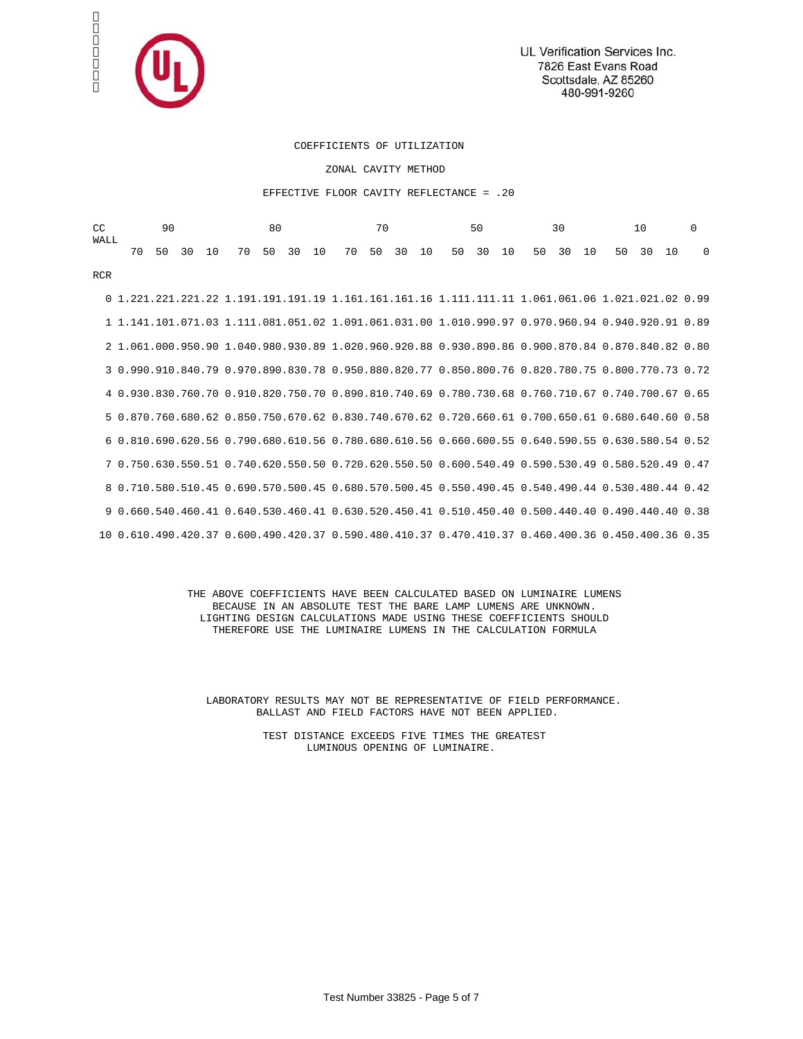

UL Verification Services Inc. 7826 East Evans Road Scottsdale, AZ 85260 480-991-9260

#### COEFFICIENTS OF UTILIZATION

ZONAL CAVITY METHOD

#### EFFECTIVE FLOOR CAVITY REFLECTANCE = .20

| CC<br><b>WALL</b> | 90<br>80 |    |    |    |                                                                                                   |    | 70 |     | 50 |    |    | 30  |    |    | 10 |        |  | $\Omega$ |    |    |    |          |
|-------------------|----------|----|----|----|---------------------------------------------------------------------------------------------------|----|----|-----|----|----|----|-----|----|----|----|--------|--|----------|----|----|----|----------|
|                   | 70       | 50 | 30 | 10 | 70                                                                                                | 50 | 30 | 1 O | 70 | 50 | 30 | 1 O | 50 | 30 | 10 | 50, 30 |  | 1 Q      | 50 | 30 | 10 | $\Omega$ |
| <b>RCR</b>        |          |    |    |    |                                                                                                   |    |    |     |    |    |    |     |    |    |    |        |  |          |    |    |    |          |
|                   |          |    |    |    | 0 1.221.221.221.22 1.191.191.191.19 1.161.161.161.16 1.111.111.11 1.061.061.06 1.021.021.02 0.99  |    |    |     |    |    |    |     |    |    |    |        |  |          |    |    |    |          |
|                   |          |    |    |    | 1 1.141.101.071.03 1.111.081.051.02 1.091.061.031.00 1.010.990.97 0.970.960.94 0.940.920.91 0.89  |    |    |     |    |    |    |     |    |    |    |        |  |          |    |    |    |          |
|                   |          |    |    |    | 2 1.061.000.950.90 1.040.980.930.89 1.020.960.920.88 0.930.890.86 0.900.870.84 0.870.840.82 0.80  |    |    |     |    |    |    |     |    |    |    |        |  |          |    |    |    |          |
|                   |          |    |    |    | 3 0.990.910.840.79 0.970.890.830.78 0.950.880.820.77 0.850.800.76 0.820.780.75 0.800.770.73 0.72  |    |    |     |    |    |    |     |    |    |    |        |  |          |    |    |    |          |
|                   |          |    |    |    | 4 0.930.830.760.70 0.910.820.750.70 0.890.810.740.69 0.780.730.68 0.760.710.67 0.740.700.67 0.65  |    |    |     |    |    |    |     |    |    |    |        |  |          |    |    |    |          |
|                   |          |    |    |    | 5 0.870.760.680.62 0.850.750.670.62 0.830.740.670.62 0.720.660.61 0.700.650.61 0.680.640.60 0.58  |    |    |     |    |    |    |     |    |    |    |        |  |          |    |    |    |          |
|                   |          |    |    |    | 6 0.810.690.620.56 0.790.680.610.56 0.780.680.610.56 0.660.600.55 0.640.590.55 0.630.580.54 0.52  |    |    |     |    |    |    |     |    |    |    |        |  |          |    |    |    |          |
|                   |          |    |    |    | 7 0.750.630.550.51 0.740.620.550.50 0.720.620.550.50 0.600.540.49 0.590.530.49 0.580.520.49 0.47  |    |    |     |    |    |    |     |    |    |    |        |  |          |    |    |    |          |
|                   |          |    |    |    | 8 0.710.580.510.45 0.690.570.500.45 0.680.570.500.45 0.550.490.45 0.540.490.44 0.530.480.44 0.42  |    |    |     |    |    |    |     |    |    |    |        |  |          |    |    |    |          |
|                   |          |    |    |    | 9 0.660.540.460.41 0.640.530.460.41 0.630.520.450.41 0.510.450.40 0.500.440.40 0.490.440.40 0.38  |    |    |     |    |    |    |     |    |    |    |        |  |          |    |    |    |          |
|                   |          |    |    |    | 10 0.610.490.420.37 0.600.490.420.37 0.590.480.410.37 0.470.410.37 0.460.400.36 0.450.400.36 0.35 |    |    |     |    |    |    |     |    |    |    |        |  |          |    |    |    |          |

 THE ABOVE COEFFICIENTS HAVE BEEN CALCULATED BASED ON LUMINAIRE LUMENS BECAUSE IN AN ABSOLUTE TEST THE BARE LAMP LUMENS ARE UNKNOWN. LIGHTING DESIGN CALCULATIONS MADE USING THESE COEFFICIENTS SHOULD THEREFORE USE THE LUMINAIRE LUMENS IN THE CALCULATION FORMULA

 LABORATORY RESULTS MAY NOT BE REPRESENTATIVE OF FIELD PERFORMANCE. BALLAST AND FIELD FACTORS HAVE NOT BEEN APPLIED.

> TEST DISTANCE EXCEEDS FIVE TIMES THE GREATEST LUMINOUS OPENING OF LUMINAIRE.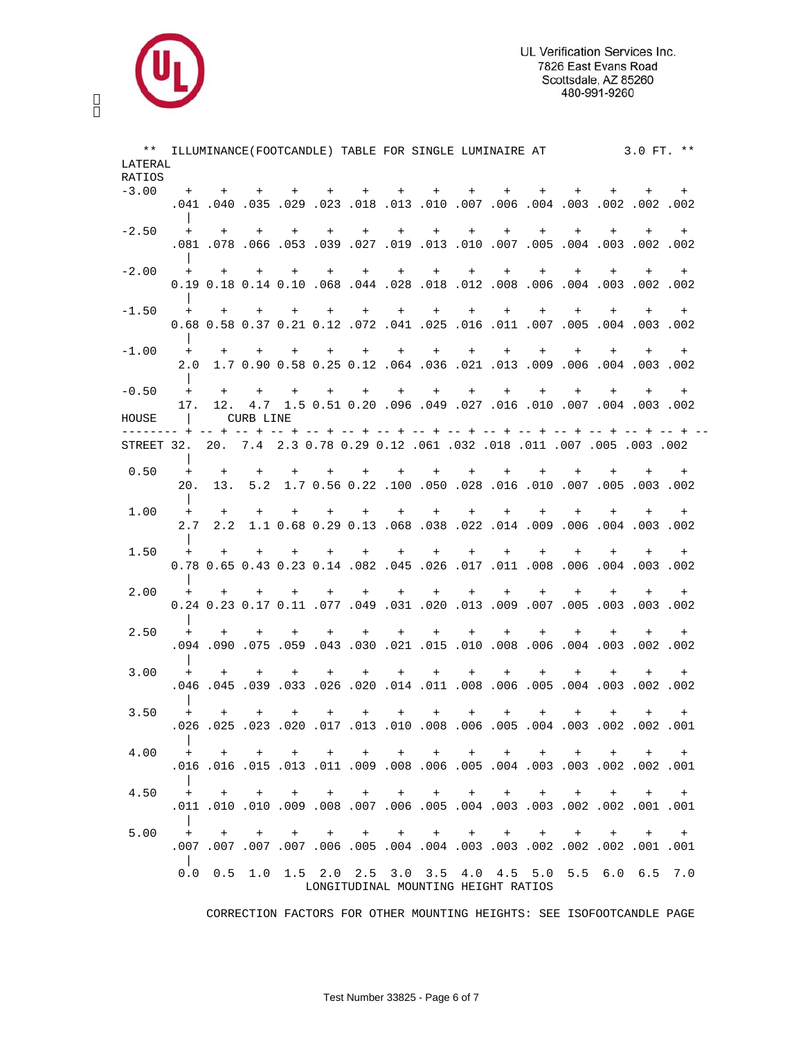

| RATIOS<br>$-3.00$<br>+ + + + + + + + + + + +<br>$+$ $-$<br>$+$ $-$<br>$+$<br>002. 002. 002. 003. 003. 004. 006. 007. 000. 010. 010. 023. 029. 050. 040. 041.<br>$-2.50$<br>+ + + + + + + + + + + + +<br>$+$<br>$+$<br>.001. 002. 003. 004. 005. 007. 010. 010. 010. 010. 027. 039. 050. 070. 081.<br>+ + + + + + + + + + + + + + +<br>0.19 0.18 0.14 0.10 .068 .044 .028 .018 .012 .008. 006 .004 0.18 0.18 0.14 0.10<br>+ + + + + + + + + + + + +<br>$+$ $-$<br>0.68 0.58 0.37 0.21 0.12 .072 .041 .025 .016 .011 .007 .005 .004 .003 0.68<br>$-1.00$<br>+ + + + + + + + + + + + + + +<br>2.0 1.7 0.90 0.58 0.25 0.12 .064 .036 .021 .013 .009 .006 .004 .003 .002<br>$-0.50$<br>$+$<br>$+$ $-$<br>+ + + + + + + + +<br>$+$ $-$<br>$+$ $-$<br>$+$<br>$+$<br>17. 12. 4.7 1.5 0.51 0.20 .096 .049 .027 .016 .010 .007 .004 .003 .002<br>HOUSE<br>$\Box$<br>CURB LINE<br>STREET 32. 20. 7.4 2.3 0.78 0.29 0.12 .061 .032 .018 .011 .007 .005 .003 .002<br>0.50<br>$+$ $+$ $+$ $+$<br>$+$<br>$+$ $+$ $+$<br>$+$ $-$<br>$+$ $+$<br>$+$<br>$+$<br>$+$<br>$+$<br>20. 13. 5.2 1.7 0.56 0.22 .100 .050 .028 .016 .010 .007 .005 .003 .002<br>1.00<br>$+$ $+$<br>+ + + + + + +<br>$+$ $-$<br>$+$<br>$+$<br>$+$<br>$+$<br>2.00. 003. 004. 004. 004. 0.00. 0.02. 0.03. 0.03. 0.03. 0.02. 0.04. 0.00. 0.00. 0.00. 0.00. 0.00. 0.00. 0.00. 0.00. 0.00. 0.00. 0.00. 0.00. 0.00. 0.00. 0.00. 0.00. 0.00. 0.00. 0.00. 0.00. 0.00. 0.00. 0.00. 0.00. 0.00. 0.00.<br>1.50<br>$+$<br>$+$ $+$ $+$<br>$+$ $-$<br>$+$ $-$<br>$+$ $-$<br>$+$<br>$+$ $-$<br>$+$<br>$+$<br>$+$<br>$+$<br>$+$<br>2.00<br>+ + + + + + + + + + +<br>$+$ $-$<br>$+$ $-$<br>$+$ $-$<br>0.24 0.23 0.17 0.11 .077 .049 .031 .020 .013 .009 .007. 005 .003 0.24 0.23 0.17 0.11<br>2.50<br>$+$ $-$<br>$+$<br>$+$ $-$<br>$+$ $+$<br>$+$<br>$+$<br>$+$<br>$+$<br>$+$<br>$+$<br>$+$<br>$+$<br>$+$ $-$<br>$+$<br>002. 002. 003. 003. 004. 006. 008. 010. 150. 120. 030. 043. 050. 050. 094. 094.<br>3.00<br>$+$<br>$+$ $-$<br>$+$ $+$<br>$+$ $-$<br>$+$ $+$ $+$<br>$+$ $-$<br>$+$<br>002. 002. 003. 004. 005. 006. 006. 001. 011. 010. 020. 026. 039. 039. 046.<br>3.50<br>$+$ $-$<br>$+$ $-$<br>+ + + + + + + + + + + + +<br>4.00<br>.<br>4.50<br>$+$ $+$<br>$+$<br>+ + + + + + + +<br>$+$<br>$+$<br>$+$<br>5.00<br>.<br>$+$ $+$ $+$<br>$+$<br>$\Box$<br>0.0 0.5 1.0 1.5 2.0 2.5 3.0 3.5 4.0 4.5 5.0 5.5 6.0 6.5 7.0 | $***$<br>LATERAL |  |  | ILLUMINANCE (FOOTCANDLE) TABLE FOR SINGLE LUMINAIRE AT 3.0 FT. ** |  |  |  |  |     |
|-----------------------------------------------------------------------------------------------------------------------------------------------------------------------------------------------------------------------------------------------------------------------------------------------------------------------------------------------------------------------------------------------------------------------------------------------------------------------------------------------------------------------------------------------------------------------------------------------------------------------------------------------------------------------------------------------------------------------------------------------------------------------------------------------------------------------------------------------------------------------------------------------------------------------------------------------------------------------------------------------------------------------------------------------------------------------------------------------------------------------------------------------------------------------------------------------------------------------------------------------------------------------------------------------------------------------------------------------------------------------------------------------------------------------------------------------------------------------------------------------------------------------------------------------------------------------------------------------------------------------------------------------------------------------------------------------------------------------------------------------------------------------------------------------------------------------------------------------------------------------------------------------------------------------------------------------------------------------------------------------------------------------------------------------------------------------------------------------------------------------------------------------------------------------------------------------------------------------------------------------------------------------------------------------------------------------------------------------------------------|------------------|--|--|-------------------------------------------------------------------|--|--|--|--|-----|
|                                                                                                                                                                                                                                                                                                                                                                                                                                                                                                                                                                                                                                                                                                                                                                                                                                                                                                                                                                                                                                                                                                                                                                                                                                                                                                                                                                                                                                                                                                                                                                                                                                                                                                                                                                                                                                                                                                                                                                                                                                                                                                                                                                                                                                                                                                                                                                 |                  |  |  |                                                                   |  |  |  |  |     |
|                                                                                                                                                                                                                                                                                                                                                                                                                                                                                                                                                                                                                                                                                                                                                                                                                                                                                                                                                                                                                                                                                                                                                                                                                                                                                                                                                                                                                                                                                                                                                                                                                                                                                                                                                                                                                                                                                                                                                                                                                                                                                                                                                                                                                                                                                                                                                                 |                  |  |  |                                                                   |  |  |  |  |     |
|                                                                                                                                                                                                                                                                                                                                                                                                                                                                                                                                                                                                                                                                                                                                                                                                                                                                                                                                                                                                                                                                                                                                                                                                                                                                                                                                                                                                                                                                                                                                                                                                                                                                                                                                                                                                                                                                                                                                                                                                                                                                                                                                                                                                                                                                                                                                                                 |                  |  |  |                                                                   |  |  |  |  |     |
|                                                                                                                                                                                                                                                                                                                                                                                                                                                                                                                                                                                                                                                                                                                                                                                                                                                                                                                                                                                                                                                                                                                                                                                                                                                                                                                                                                                                                                                                                                                                                                                                                                                                                                                                                                                                                                                                                                                                                                                                                                                                                                                                                                                                                                                                                                                                                                 |                  |  |  |                                                                   |  |  |  |  |     |
|                                                                                                                                                                                                                                                                                                                                                                                                                                                                                                                                                                                                                                                                                                                                                                                                                                                                                                                                                                                                                                                                                                                                                                                                                                                                                                                                                                                                                                                                                                                                                                                                                                                                                                                                                                                                                                                                                                                                                                                                                                                                                                                                                                                                                                                                                                                                                                 |                  |  |  |                                                                   |  |  |  |  |     |
|                                                                                                                                                                                                                                                                                                                                                                                                                                                                                                                                                                                                                                                                                                                                                                                                                                                                                                                                                                                                                                                                                                                                                                                                                                                                                                                                                                                                                                                                                                                                                                                                                                                                                                                                                                                                                                                                                                                                                                                                                                                                                                                                                                                                                                                                                                                                                                 |                  |  |  |                                                                   |  |  |  |  |     |
|                                                                                                                                                                                                                                                                                                                                                                                                                                                                                                                                                                                                                                                                                                                                                                                                                                                                                                                                                                                                                                                                                                                                                                                                                                                                                                                                                                                                                                                                                                                                                                                                                                                                                                                                                                                                                                                                                                                                                                                                                                                                                                                                                                                                                                                                                                                                                                 |                  |  |  |                                                                   |  |  |  |  |     |
|                                                                                                                                                                                                                                                                                                                                                                                                                                                                                                                                                                                                                                                                                                                                                                                                                                                                                                                                                                                                                                                                                                                                                                                                                                                                                                                                                                                                                                                                                                                                                                                                                                                                                                                                                                                                                                                                                                                                                                                                                                                                                                                                                                                                                                                                                                                                                                 |                  |  |  |                                                                   |  |  |  |  |     |
|                                                                                                                                                                                                                                                                                                                                                                                                                                                                                                                                                                                                                                                                                                                                                                                                                                                                                                                                                                                                                                                                                                                                                                                                                                                                                                                                                                                                                                                                                                                                                                                                                                                                                                                                                                                                                                                                                                                                                                                                                                                                                                                                                                                                                                                                                                                                                                 | $-2.00$          |  |  |                                                                   |  |  |  |  |     |
|                                                                                                                                                                                                                                                                                                                                                                                                                                                                                                                                                                                                                                                                                                                                                                                                                                                                                                                                                                                                                                                                                                                                                                                                                                                                                                                                                                                                                                                                                                                                                                                                                                                                                                                                                                                                                                                                                                                                                                                                                                                                                                                                                                                                                                                                                                                                                                 |                  |  |  |                                                                   |  |  |  |  |     |
|                                                                                                                                                                                                                                                                                                                                                                                                                                                                                                                                                                                                                                                                                                                                                                                                                                                                                                                                                                                                                                                                                                                                                                                                                                                                                                                                                                                                                                                                                                                                                                                                                                                                                                                                                                                                                                                                                                                                                                                                                                                                                                                                                                                                                                                                                                                                                                 |                  |  |  |                                                                   |  |  |  |  |     |
|                                                                                                                                                                                                                                                                                                                                                                                                                                                                                                                                                                                                                                                                                                                                                                                                                                                                                                                                                                                                                                                                                                                                                                                                                                                                                                                                                                                                                                                                                                                                                                                                                                                                                                                                                                                                                                                                                                                                                                                                                                                                                                                                                                                                                                                                                                                                                                 | $-1.50$          |  |  |                                                                   |  |  |  |  | $+$ |
|                                                                                                                                                                                                                                                                                                                                                                                                                                                                                                                                                                                                                                                                                                                                                                                                                                                                                                                                                                                                                                                                                                                                                                                                                                                                                                                                                                                                                                                                                                                                                                                                                                                                                                                                                                                                                                                                                                                                                                                                                                                                                                                                                                                                                                                                                                                                                                 |                  |  |  |                                                                   |  |  |  |  |     |
|                                                                                                                                                                                                                                                                                                                                                                                                                                                                                                                                                                                                                                                                                                                                                                                                                                                                                                                                                                                                                                                                                                                                                                                                                                                                                                                                                                                                                                                                                                                                                                                                                                                                                                                                                                                                                                                                                                                                                                                                                                                                                                                                                                                                                                                                                                                                                                 |                  |  |  |                                                                   |  |  |  |  |     |
|                                                                                                                                                                                                                                                                                                                                                                                                                                                                                                                                                                                                                                                                                                                                                                                                                                                                                                                                                                                                                                                                                                                                                                                                                                                                                                                                                                                                                                                                                                                                                                                                                                                                                                                                                                                                                                                                                                                                                                                                                                                                                                                                                                                                                                                                                                                                                                 |                  |  |  |                                                                   |  |  |  |  |     |
|                                                                                                                                                                                                                                                                                                                                                                                                                                                                                                                                                                                                                                                                                                                                                                                                                                                                                                                                                                                                                                                                                                                                                                                                                                                                                                                                                                                                                                                                                                                                                                                                                                                                                                                                                                                                                                                                                                                                                                                                                                                                                                                                                                                                                                                                                                                                                                 |                  |  |  |                                                                   |  |  |  |  |     |
|                                                                                                                                                                                                                                                                                                                                                                                                                                                                                                                                                                                                                                                                                                                                                                                                                                                                                                                                                                                                                                                                                                                                                                                                                                                                                                                                                                                                                                                                                                                                                                                                                                                                                                                                                                                                                                                                                                                                                                                                                                                                                                                                                                                                                                                                                                                                                                 |                  |  |  |                                                                   |  |  |  |  |     |
|                                                                                                                                                                                                                                                                                                                                                                                                                                                                                                                                                                                                                                                                                                                                                                                                                                                                                                                                                                                                                                                                                                                                                                                                                                                                                                                                                                                                                                                                                                                                                                                                                                                                                                                                                                                                                                                                                                                                                                                                                                                                                                                                                                                                                                                                                                                                                                 |                  |  |  |                                                                   |  |  |  |  |     |
|                                                                                                                                                                                                                                                                                                                                                                                                                                                                                                                                                                                                                                                                                                                                                                                                                                                                                                                                                                                                                                                                                                                                                                                                                                                                                                                                                                                                                                                                                                                                                                                                                                                                                                                                                                                                                                                                                                                                                                                                                                                                                                                                                                                                                                                                                                                                                                 |                  |  |  |                                                                   |  |  |  |  |     |
|                                                                                                                                                                                                                                                                                                                                                                                                                                                                                                                                                                                                                                                                                                                                                                                                                                                                                                                                                                                                                                                                                                                                                                                                                                                                                                                                                                                                                                                                                                                                                                                                                                                                                                                                                                                                                                                                                                                                                                                                                                                                                                                                                                                                                                                                                                                                                                 |                  |  |  |                                                                   |  |  |  |  |     |
|                                                                                                                                                                                                                                                                                                                                                                                                                                                                                                                                                                                                                                                                                                                                                                                                                                                                                                                                                                                                                                                                                                                                                                                                                                                                                                                                                                                                                                                                                                                                                                                                                                                                                                                                                                                                                                                                                                                                                                                                                                                                                                                                                                                                                                                                                                                                                                 |                  |  |  |                                                                   |  |  |  |  |     |
|                                                                                                                                                                                                                                                                                                                                                                                                                                                                                                                                                                                                                                                                                                                                                                                                                                                                                                                                                                                                                                                                                                                                                                                                                                                                                                                                                                                                                                                                                                                                                                                                                                                                                                                                                                                                                                                                                                                                                                                                                                                                                                                                                                                                                                                                                                                                                                 |                  |  |  |                                                                   |  |  |  |  |     |
|                                                                                                                                                                                                                                                                                                                                                                                                                                                                                                                                                                                                                                                                                                                                                                                                                                                                                                                                                                                                                                                                                                                                                                                                                                                                                                                                                                                                                                                                                                                                                                                                                                                                                                                                                                                                                                                                                                                                                                                                                                                                                                                                                                                                                                                                                                                                                                 |                  |  |  |                                                                   |  |  |  |  |     |
|                                                                                                                                                                                                                                                                                                                                                                                                                                                                                                                                                                                                                                                                                                                                                                                                                                                                                                                                                                                                                                                                                                                                                                                                                                                                                                                                                                                                                                                                                                                                                                                                                                                                                                                                                                                                                                                                                                                                                                                                                                                                                                                                                                                                                                                                                                                                                                 |                  |  |  |                                                                   |  |  |  |  |     |
|                                                                                                                                                                                                                                                                                                                                                                                                                                                                                                                                                                                                                                                                                                                                                                                                                                                                                                                                                                                                                                                                                                                                                                                                                                                                                                                                                                                                                                                                                                                                                                                                                                                                                                                                                                                                                                                                                                                                                                                                                                                                                                                                                                                                                                                                                                                                                                 |                  |  |  |                                                                   |  |  |  |  |     |
|                                                                                                                                                                                                                                                                                                                                                                                                                                                                                                                                                                                                                                                                                                                                                                                                                                                                                                                                                                                                                                                                                                                                                                                                                                                                                                                                                                                                                                                                                                                                                                                                                                                                                                                                                                                                                                                                                                                                                                                                                                                                                                                                                                                                                                                                                                                                                                 |                  |  |  |                                                                   |  |  |  |  |     |
|                                                                                                                                                                                                                                                                                                                                                                                                                                                                                                                                                                                                                                                                                                                                                                                                                                                                                                                                                                                                                                                                                                                                                                                                                                                                                                                                                                                                                                                                                                                                                                                                                                                                                                                                                                                                                                                                                                                                                                                                                                                                                                                                                                                                                                                                                                                                                                 |                  |  |  |                                                                   |  |  |  |  |     |
|                                                                                                                                                                                                                                                                                                                                                                                                                                                                                                                                                                                                                                                                                                                                                                                                                                                                                                                                                                                                                                                                                                                                                                                                                                                                                                                                                                                                                                                                                                                                                                                                                                                                                                                                                                                                                                                                                                                                                                                                                                                                                                                                                                                                                                                                                                                                                                 |                  |  |  |                                                                   |  |  |  |  | $+$ |
|                                                                                                                                                                                                                                                                                                                                                                                                                                                                                                                                                                                                                                                                                                                                                                                                                                                                                                                                                                                                                                                                                                                                                                                                                                                                                                                                                                                                                                                                                                                                                                                                                                                                                                                                                                                                                                                                                                                                                                                                                                                                                                                                                                                                                                                                                                                                                                 |                  |  |  |                                                                   |  |  |  |  |     |
|                                                                                                                                                                                                                                                                                                                                                                                                                                                                                                                                                                                                                                                                                                                                                                                                                                                                                                                                                                                                                                                                                                                                                                                                                                                                                                                                                                                                                                                                                                                                                                                                                                                                                                                                                                                                                                                                                                                                                                                                                                                                                                                                                                                                                                                                                                                                                                 |                  |  |  |                                                                   |  |  |  |  |     |
|                                                                                                                                                                                                                                                                                                                                                                                                                                                                                                                                                                                                                                                                                                                                                                                                                                                                                                                                                                                                                                                                                                                                                                                                                                                                                                                                                                                                                                                                                                                                                                                                                                                                                                                                                                                                                                                                                                                                                                                                                                                                                                                                                                                                                                                                                                                                                                 |                  |  |  |                                                                   |  |  |  |  | $+$ |
|                                                                                                                                                                                                                                                                                                                                                                                                                                                                                                                                                                                                                                                                                                                                                                                                                                                                                                                                                                                                                                                                                                                                                                                                                                                                                                                                                                                                                                                                                                                                                                                                                                                                                                                                                                                                                                                                                                                                                                                                                                                                                                                                                                                                                                                                                                                                                                 |                  |  |  |                                                                   |  |  |  |  |     |
|                                                                                                                                                                                                                                                                                                                                                                                                                                                                                                                                                                                                                                                                                                                                                                                                                                                                                                                                                                                                                                                                                                                                                                                                                                                                                                                                                                                                                                                                                                                                                                                                                                                                                                                                                                                                                                                                                                                                                                                                                                                                                                                                                                                                                                                                                                                                                                 |                  |  |  |                                                                   |  |  |  |  |     |
|                                                                                                                                                                                                                                                                                                                                                                                                                                                                                                                                                                                                                                                                                                                                                                                                                                                                                                                                                                                                                                                                                                                                                                                                                                                                                                                                                                                                                                                                                                                                                                                                                                                                                                                                                                                                                                                                                                                                                                                                                                                                                                                                                                                                                                                                                                                                                                 |                  |  |  |                                                                   |  |  |  |  | $+$ |
|                                                                                                                                                                                                                                                                                                                                                                                                                                                                                                                                                                                                                                                                                                                                                                                                                                                                                                                                                                                                                                                                                                                                                                                                                                                                                                                                                                                                                                                                                                                                                                                                                                                                                                                                                                                                                                                                                                                                                                                                                                                                                                                                                                                                                                                                                                                                                                 |                  |  |  |                                                                   |  |  |  |  |     |
|                                                                                                                                                                                                                                                                                                                                                                                                                                                                                                                                                                                                                                                                                                                                                                                                                                                                                                                                                                                                                                                                                                                                                                                                                                                                                                                                                                                                                                                                                                                                                                                                                                                                                                                                                                                                                                                                                                                                                                                                                                                                                                                                                                                                                                                                                                                                                                 |                  |  |  |                                                                   |  |  |  |  |     |
|                                                                                                                                                                                                                                                                                                                                                                                                                                                                                                                                                                                                                                                                                                                                                                                                                                                                                                                                                                                                                                                                                                                                                                                                                                                                                                                                                                                                                                                                                                                                                                                                                                                                                                                                                                                                                                                                                                                                                                                                                                                                                                                                                                                                                                                                                                                                                                 |                  |  |  |                                                                   |  |  |  |  |     |
|                                                                                                                                                                                                                                                                                                                                                                                                                                                                                                                                                                                                                                                                                                                                                                                                                                                                                                                                                                                                                                                                                                                                                                                                                                                                                                                                                                                                                                                                                                                                                                                                                                                                                                                                                                                                                                                                                                                                                                                                                                                                                                                                                                                                                                                                                                                                                                 |                  |  |  |                                                                   |  |  |  |  |     |
|                                                                                                                                                                                                                                                                                                                                                                                                                                                                                                                                                                                                                                                                                                                                                                                                                                                                                                                                                                                                                                                                                                                                                                                                                                                                                                                                                                                                                                                                                                                                                                                                                                                                                                                                                                                                                                                                                                                                                                                                                                                                                                                                                                                                                                                                                                                                                                 |                  |  |  |                                                                   |  |  |  |  |     |
|                                                                                                                                                                                                                                                                                                                                                                                                                                                                                                                                                                                                                                                                                                                                                                                                                                                                                                                                                                                                                                                                                                                                                                                                                                                                                                                                                                                                                                                                                                                                                                                                                                                                                                                                                                                                                                                                                                                                                                                                                                                                                                                                                                                                                                                                                                                                                                 |                  |  |  |                                                                   |  |  |  |  |     |
|                                                                                                                                                                                                                                                                                                                                                                                                                                                                                                                                                                                                                                                                                                                                                                                                                                                                                                                                                                                                                                                                                                                                                                                                                                                                                                                                                                                                                                                                                                                                                                                                                                                                                                                                                                                                                                                                                                                                                                                                                                                                                                                                                                                                                                                                                                                                                                 |                  |  |  |                                                                   |  |  |  |  |     |
|                                                                                                                                                                                                                                                                                                                                                                                                                                                                                                                                                                                                                                                                                                                                                                                                                                                                                                                                                                                                                                                                                                                                                                                                                                                                                                                                                                                                                                                                                                                                                                                                                                                                                                                                                                                                                                                                                                                                                                                                                                                                                                                                                                                                                                                                                                                                                                 |                  |  |  |                                                                   |  |  |  |  |     |
|                                                                                                                                                                                                                                                                                                                                                                                                                                                                                                                                                                                                                                                                                                                                                                                                                                                                                                                                                                                                                                                                                                                                                                                                                                                                                                                                                                                                                                                                                                                                                                                                                                                                                                                                                                                                                                                                                                                                                                                                                                                                                                                                                                                                                                                                                                                                                                 |                  |  |  |                                                                   |  |  |  |  |     |
|                                                                                                                                                                                                                                                                                                                                                                                                                                                                                                                                                                                                                                                                                                                                                                                                                                                                                                                                                                                                                                                                                                                                                                                                                                                                                                                                                                                                                                                                                                                                                                                                                                                                                                                                                                                                                                                                                                                                                                                                                                                                                                                                                                                                                                                                                                                                                                 |                  |  |  |                                                                   |  |  |  |  |     |
|                                                                                                                                                                                                                                                                                                                                                                                                                                                                                                                                                                                                                                                                                                                                                                                                                                                                                                                                                                                                                                                                                                                                                                                                                                                                                                                                                                                                                                                                                                                                                                                                                                                                                                                                                                                                                                                                                                                                                                                                                                                                                                                                                                                                                                                                                                                                                                 |                  |  |  |                                                                   |  |  |  |  |     |
|                                                                                                                                                                                                                                                                                                                                                                                                                                                                                                                                                                                                                                                                                                                                                                                                                                                                                                                                                                                                                                                                                                                                                                                                                                                                                                                                                                                                                                                                                                                                                                                                                                                                                                                                                                                                                                                                                                                                                                                                                                                                                                                                                                                                                                                                                                                                                                 |                  |  |  |                                                                   |  |  |  |  |     |
|                                                                                                                                                                                                                                                                                                                                                                                                                                                                                                                                                                                                                                                                                                                                                                                                                                                                                                                                                                                                                                                                                                                                                                                                                                                                                                                                                                                                                                                                                                                                                                                                                                                                                                                                                                                                                                                                                                                                                                                                                                                                                                                                                                                                                                                                                                                                                                 |                  |  |  |                                                                   |  |  |  |  |     |
|                                                                                                                                                                                                                                                                                                                                                                                                                                                                                                                                                                                                                                                                                                                                                                                                                                                                                                                                                                                                                                                                                                                                                                                                                                                                                                                                                                                                                                                                                                                                                                                                                                                                                                                                                                                                                                                                                                                                                                                                                                                                                                                                                                                                                                                                                                                                                                 |                  |  |  |                                                                   |  |  |  |  |     |
|                                                                                                                                                                                                                                                                                                                                                                                                                                                                                                                                                                                                                                                                                                                                                                                                                                                                                                                                                                                                                                                                                                                                                                                                                                                                                                                                                                                                                                                                                                                                                                                                                                                                                                                                                                                                                                                                                                                                                                                                                                                                                                                                                                                                                                                                                                                                                                 |                  |  |  |                                                                   |  |  |  |  |     |
|                                                                                                                                                                                                                                                                                                                                                                                                                                                                                                                                                                                                                                                                                                                                                                                                                                                                                                                                                                                                                                                                                                                                                                                                                                                                                                                                                                                                                                                                                                                                                                                                                                                                                                                                                                                                                                                                                                                                                                                                                                                                                                                                                                                                                                                                                                                                                                 |                  |  |  |                                                                   |  |  |  |  |     |
|                                                                                                                                                                                                                                                                                                                                                                                                                                                                                                                                                                                                                                                                                                                                                                                                                                                                                                                                                                                                                                                                                                                                                                                                                                                                                                                                                                                                                                                                                                                                                                                                                                                                                                                                                                                                                                                                                                                                                                                                                                                                                                                                                                                                                                                                                                                                                                 |                  |  |  |                                                                   |  |  |  |  |     |
|                                                                                                                                                                                                                                                                                                                                                                                                                                                                                                                                                                                                                                                                                                                                                                                                                                                                                                                                                                                                                                                                                                                                                                                                                                                                                                                                                                                                                                                                                                                                                                                                                                                                                                                                                                                                                                                                                                                                                                                                                                                                                                                                                                                                                                                                                                                                                                 |                  |  |  |                                                                   |  |  |  |  |     |
|                                                                                                                                                                                                                                                                                                                                                                                                                                                                                                                                                                                                                                                                                                                                                                                                                                                                                                                                                                                                                                                                                                                                                                                                                                                                                                                                                                                                                                                                                                                                                                                                                                                                                                                                                                                                                                                                                                                                                                                                                                                                                                                                                                                                                                                                                                                                                                 |                  |  |  |                                                                   |  |  |  |  |     |
|                                                                                                                                                                                                                                                                                                                                                                                                                                                                                                                                                                                                                                                                                                                                                                                                                                                                                                                                                                                                                                                                                                                                                                                                                                                                                                                                                                                                                                                                                                                                                                                                                                                                                                                                                                                                                                                                                                                                                                                                                                                                                                                                                                                                                                                                                                                                                                 |                  |  |  |                                                                   |  |  |  |  |     |
|                                                                                                                                                                                                                                                                                                                                                                                                                                                                                                                                                                                                                                                                                                                                                                                                                                                                                                                                                                                                                                                                                                                                                                                                                                                                                                                                                                                                                                                                                                                                                                                                                                                                                                                                                                                                                                                                                                                                                                                                                                                                                                                                                                                                                                                                                                                                                                 |                  |  |  |                                                                   |  |  |  |  |     |
|                                                                                                                                                                                                                                                                                                                                                                                                                                                                                                                                                                                                                                                                                                                                                                                                                                                                                                                                                                                                                                                                                                                                                                                                                                                                                                                                                                                                                                                                                                                                                                                                                                                                                                                                                                                                                                                                                                                                                                                                                                                                                                                                                                                                                                                                                                                                                                 |                  |  |  |                                                                   |  |  |  |  |     |
| LONGITUDINAL MOUNTING HEIGHT RATIOS                                                                                                                                                                                                                                                                                                                                                                                                                                                                                                                                                                                                                                                                                                                                                                                                                                                                                                                                                                                                                                                                                                                                                                                                                                                                                                                                                                                                                                                                                                                                                                                                                                                                                                                                                                                                                                                                                                                                                                                                                                                                                                                                                                                                                                                                                                                             |                  |  |  |                                                                   |  |  |  |  |     |

CORRECTION FACTORS FOR OTHER MOUNTING HEIGHTS: SEE ISOFOOTCANDLE PAGE